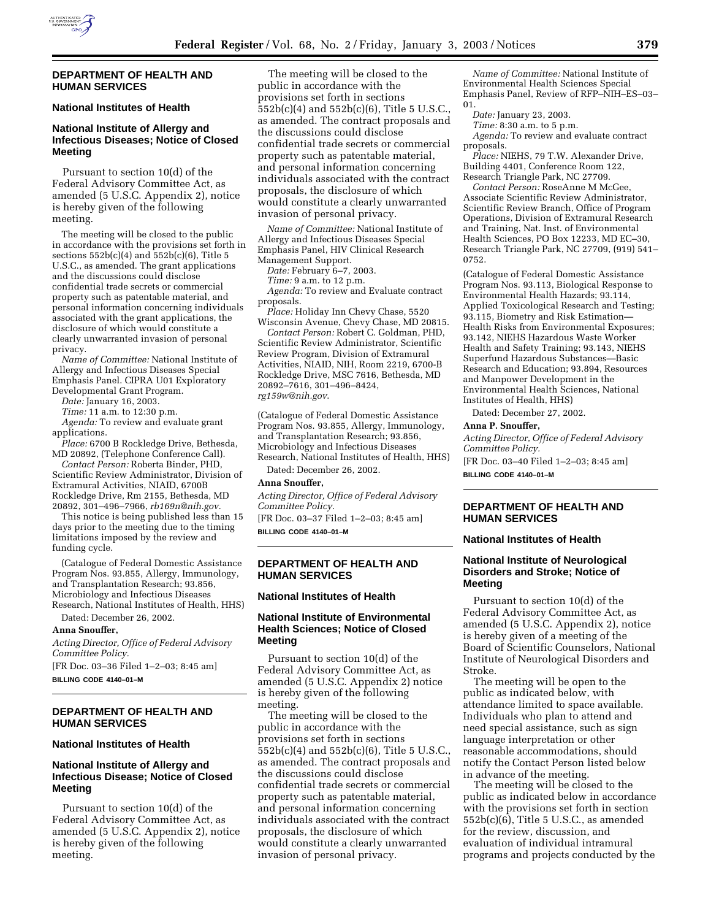

#### **DEPARTMENT OF HEALTH AND HUMAN SERVICES**

## **National Institutes of Health**

# **National Institute of Allergy and Infectious Diseases; Notice of Closed Meeting**

Pursuant to section 10(d) of the Federal Advisory Committee Act, as amended (5 U.S.C. Appendix 2), notice is hereby given of the following meeting.

The meeting will be closed to the public in accordance with the provisions set forth in sections  $552b(c)(4)$  and  $552b(c)(6)$ , Title 5 U.S.C., as amended. The grant applications and the discussions could disclose confidential trade secrets or commercial property such as patentable material, and personal information concerning individuals associated with the grant applications, the disclosure of which would constitute a clearly unwarranted invasion of personal privacy.

*Name of Committee:* National Institute of Allergy and Infectious Diseases Special Emphasis Panel. CIPRA U01 Exploratory Developmental Grant Program.

*Date:* January 16, 2003.

*Time:* 11 a.m. to 12:30 p.m.

*Agenda:* To review and evaluate grant applications.

*Place:* 6700 B Rockledge Drive, Bethesda, MD 20892, (Telephone Conference Call).

*Contact Person:* Roberta Binder, PHD, Scientific Review Administrator, Division of Extramural Activities, NIAID, 6700B Rockledge Drive, Rm 2155, Bethesda, MD 20892, 301–496–7966, *rb169n@nih.gov.*

This notice is being published less than 15 days prior to the meeting due to the timing limitations imposed by the review and funding cycle.

(Catalogue of Federal Domestic Assistance Program Nos. 93.855, Allergy, Immunology, and Transplantation Research; 93.856, Microbiology and Infectious Diseases Research, National Institutes of Health, HHS) Dated: December 26, 2002.

#### **Anna Snouffer,**

*Acting Director, Office of Federal Advisory Committee Policy.*

[FR Doc. 03–36 Filed 1–2–03; 8:45 am] **BILLING CODE 4140–01–M**

### **DEPARTMENT OF HEALTH AND HUMAN SERVICES**

#### **National Institutes of Health**

# **National Institute of Allergy and Infectious Disease; Notice of Closed Meeting**

Pursuant to section 10(d) of the Federal Advisory Committee Act, as amended (5 U.S.C. Appendix 2), notice is hereby given of the following meeting.

The meeting will be closed to the public in accordance with the provisions set forth in sections 552b(c)(4) and 552b(c)(6), Title 5 U.S.C., as amended. The contract proposals and the discussions could disclose confidential trade secrets or commercial property such as patentable material, and personal information concerning individuals associated with the contract proposals, the disclosure of which would constitute a clearly unwarranted invasion of personal privacy.

*Name of Committee:* National Institute of Allergy and Infectious Diseases Special Emphasis Panel, HIV Clinical Research Management Support.

*Date:* February 6–7, 2003.

*Time:* 9 a.m. to 12 p.m.

*Agenda:* To review and Evaluate contract proposals.

*Place:* Holiday Inn Chevy Chase, 5520 Wisconsin Avenue, Chevy Chase, MD 20815.

*Contact Person:* Robert C. Goldman, PHD, Scientific Review Administrator, Scientific Review Program, Division of Extramural Activities, NIAID, NIH, Room 2219, 6700-B Rockledge Drive, MSC 7616, Bethesda, MD 20892–7616, 301–496–8424, *rg159w@nih.gov*.

(Catalogue of Federal Domestic Assistance Program Nos. 93.855, Allergy, Immunology, and Transplantation Research; 93.856, Microbiology and Infectious Diseases Research, National Institutes of Health, HHS) Dated: December 26, 2002.

#### **Anna Snouffer,**

*Acting Director, Office of Federal Advisory Committee Policy.*

[FR Doc. 03–37 Filed 1–2–03; 8:45 am] **BILLING CODE 4140–01–M**

# **DEPARTMENT OF HEALTH AND HUMAN SERVICES**

#### **National Institutes of Health**

## **National Institute of Environmental Health Sciences; Notice of Closed Meeting**

Pursuant to section 10(d) of the Federal Advisory Committee Act, as amended (5 U.S.C. Appendix 2) notice is hereby given of the following meeting.

The meeting will be closed to the public in accordance with the provisions set forth in sections 552b(c)(4) and 552b(c)(6), Title 5 U.S.C., as amended. The contract proposals and the discussions could disclose confidential trade secrets or commercial property such as patentable material, and personal information concerning individuals associated with the contract proposals, the disclosure of which would constitute a clearly unwarranted invasion of personal privacy.

*Name of Committee:* National Institute of Environmental Health Sciences Special Emphasis Panel, Review of RFP–NIH–ES–03– 01.

*Date:* January 23, 2003.

*Time:* 8:30 a.m. to 5 p.m.

*Agenda:* To review and evaluate contract proposals.

*Place:* NIEHS, 79 T.W. Alexander Drive, Building 4401, Conference Room 122, Research Triangle Park, NC 27709.

*Contact Person:* RoseAnne M McGee, Associate Scientific Review Administrator, Scientific Review Branch, Office of Program Operations, Division of Extramural Research and Training, Nat. Inst. of Environmental Health Sciences, PO Box 12233, MD EC–30, Research Triangle Park, NC 27709, (919) 541– 0752.

(Catalogue of Federal Domestic Assistance Program Nos. 93.113, Biological Response to Environmental Health Hazards; 93.114, Applied Toxicological Research and Testing; 93.115, Biometry and Risk Estimation— Health Risks from Environmental Exposures; 93.142, NIEHS Hazardous Waste Worker Health and Safety Training; 93.143, NIEHS Superfund Hazardous Substances—Basic Research and Education; 93.894, Resources and Manpower Development in the Environmental Health Sciences, National Institutes of Health, HHS)

Dated: December 27, 2002.

#### **Anna P. Snouffer,**

*Acting Director, Office of Federal Advisory Committee Policy.*

[FR Doc. 03–40 Filed 1–2–03; 8:45 am] **BILLING CODE 4140–01–M**

## **DEPARTMENT OF HEALTH AND HUMAN SERVICES**

#### **National Institutes of Health**

## **National Institute of Neurological Disorders and Stroke; Notice of Meeting**

Pursuant to section 10(d) of the Federal Advisory Committee Act, as amended (5 U.S.C. Appendix 2), notice is hereby given of a meeting of the Board of Scientific Counselors, National Institute of Neurological Disorders and Stroke.

The meeting will be open to the public as indicated below, with attendance limited to space available. Individuals who plan to attend and need special assistance, such as sign language interpretation or other reasonable accommodations, should notify the Contact Person listed below in advance of the meeting.

The meeting will be closed to the public as indicated below in accordance with the provisions set forth in section 552b(c)(6), Title 5 U.S.C., as amended for the review, discussion, and evaluation of individual intramural programs and projects conducted by the